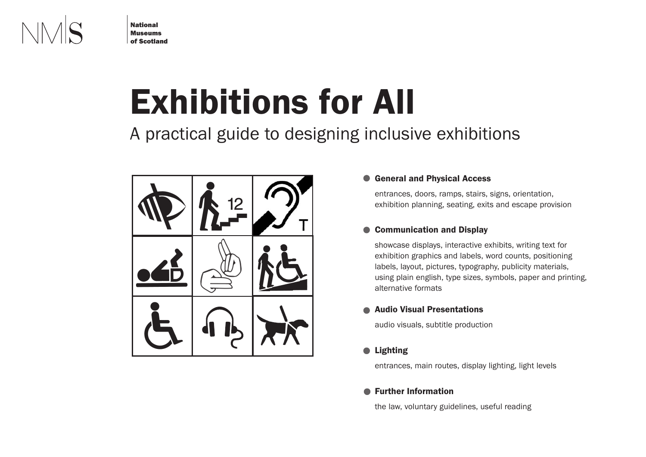

**National Museums of Scotland**

# **Exhibitions for All**

A practical guide to designing inclusive exhibitions



### **General and Physical Access**  $\bullet$

entrances, doors, ramps, stairs, signs, orientation, exhibition planning, seating, exits and escape provision

### **Communication and Display**  $\bullet$

showcase displays, interactive exhibits, writing text for exhibition graphics and labels, word counts, positioning labels, layout, pictures, typography, publicity materials, using plain english, type sizes, symbols, paper and printing, alternative formats

# **Audio Visual Presentations**

audio visuals, subtitle production

# **Lighting**

entrances, main routes, display lighting, light levels

# **Further Information**

the law, voluntary guidelines, useful reading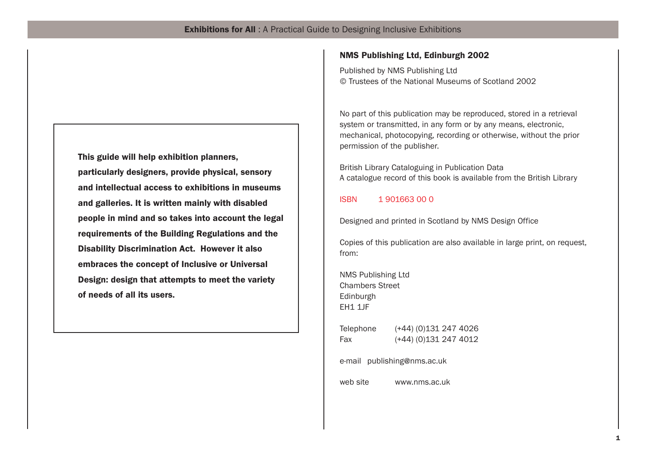**This guide will help exhibition planners, particularly designers, provide physical, sensory and intellectual access to exhibitions in museums and galleries. It is written mainly with disabled people in mind and so takes into account the legal requirements of the Building Regulations and the Disability Discrimination Act. However it also embraces the concept of Inclusive or Universal Design: design that attempts to meet the variety of needs of all its users.**

# **NMS Publishing Ltd, Edinburgh 2002**

Published by NMS Publishing Ltd © Trustees of the National Museums of Scotland 2002

No part of this publication may be reproduced, stored in a retrieval system or transmitted, in any form or by any means, electronic, mechanical, photocopying, recording or otherwise, without the prior permission of the publisher.

British Library Cataloguing in Publication Data A catalogue record of this book is available from the British Library

# ISBN 1 901663 00 0

Designed and printed in Scotland by NMS Design Office

Copies of this publication are also available in large print, on request, from:

NMS Publishing Ltd Chambers Street Edinburgh EH1 1JF

Telephone (+44) (0)131 247 4026 Fax  $(+44)$  (0)131 247 4012

e-mail publishing@nms.ac.uk

web site www.nms.ac.uk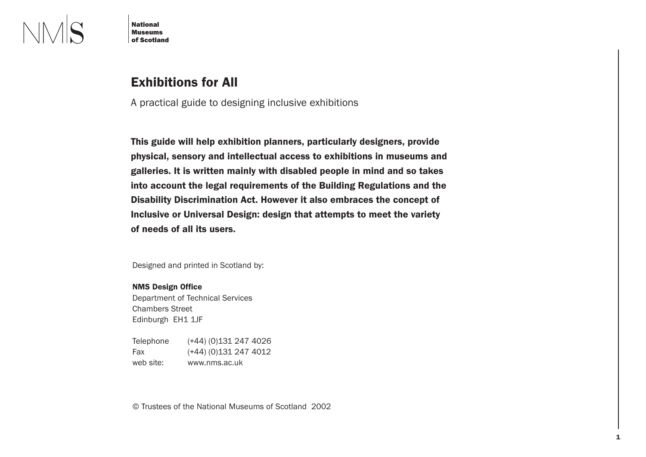

**National Museums of Scotland**

# **Exhibitions for All**

A practical guide to designing inclusive exhibitions

**This guide will help exhibition planners, particularly designers, provide physical, sensory and intellectual access to exhibitions in museums and galleries. It is written mainly with disabled people in mind and so takes into account the legal requirements of the Building Regulations and the Disability Discrimination Act. However it also embraces the concept of Inclusive or Universal Design: design that attempts to meet the variety of needs of all its users.**

Designed and printed in Scotland by:

### **NMS Design Office**

Department of Technical Services Chambers Street Edinburgh EH1 1JF

Telephone (+44) (0)131 247 4026 Fax  $(+44)$  (0)131 247 4012 web site: www.nms.ac.uk

© Trustees of the National Museums of Scotland 2002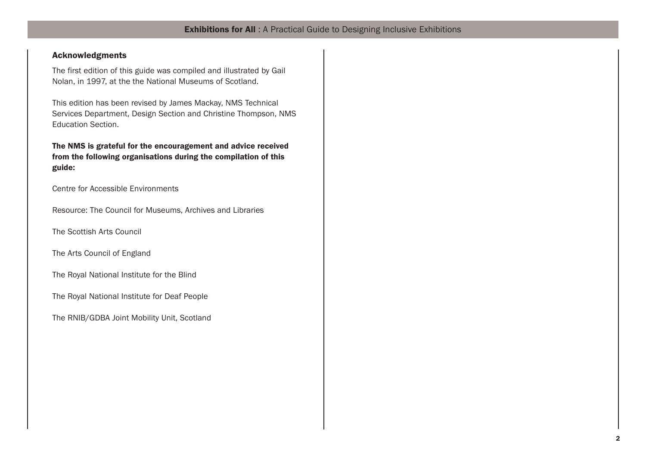# **Acknowledgments**

The first edition of this guide was compiled and illustrated by Gail Nolan, in 1997, at the the National Museums of Scotland.

This edition has been revised by James Mackay, NMS Technical Services Department, Design Section and Christine Thompson, NMS Education Section.

**The NMS is grateful for the encouragement and advice received from the following organisations during the compilation of this guide:**

Centre for Accessible Environments

Resource: The Council for Museums, Archives and Libraries

The Scottish Arts Council

The Arts Council of England

The Royal National Institute for the Blind

The Royal National Institute for Deaf People

The RNIB/GDBA Joint Mobility Unit, Scotland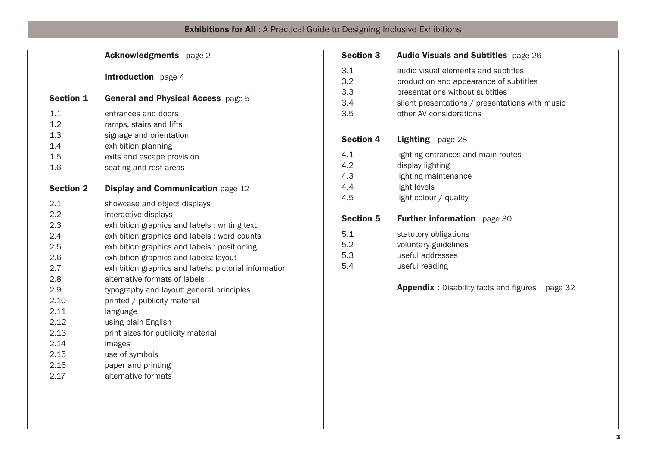|                                        | <b>Acknowledgments</b> page 2                                                                                                                            |
|----------------------------------------|----------------------------------------------------------------------------------------------------------------------------------------------------------|
|                                        | <b>Introduction</b> page 4                                                                                                                               |
| <b>Section 1</b>                       | General and Physical Access page 5                                                                                                                       |
| 1.1<br>1.2<br>1.3<br>1.4<br>1.5<br>1.6 | entrances and doors<br>ramps, stairs and lifts<br>signage and orientation<br>exhibition planning<br>exits and escape provision<br>seating and rest areas |
| <b>Section 2</b>                       | <b>Display and Communication page 12</b>                                                                                                                 |
| 2.1                                    | showcase and object displays                                                                                                                             |
| 2.2                                    | interactive displays                                                                                                                                     |
| 2.3                                    | exhibition graphics and labels: writing text                                                                                                             |
| 2.4                                    | exhibition graphics and labels; word counts                                                                                                              |
| 2.5                                    | exhibition graphics and labels: positioning                                                                                                              |
| 2.6                                    | exhibition graphics and labels: layout                                                                                                                   |
| 2.7                                    | exhibition graphics and labels: pictorial information                                                                                                    |
| 2.8                                    | alternative formats of labels                                                                                                                            |
| 2.9                                    | typography and layout: general principles                                                                                                                |
| 2.10                                   | printed / publicity material                                                                                                                             |
| 2.11                                   | language                                                                                                                                                 |
| 2.12                                   | using plain English                                                                                                                                      |
| 2.13                                   | print sizes for publicity material                                                                                                                       |
| 2.14                                   | images                                                                                                                                                   |
| 2.15                                   | use of symbols                                                                                                                                           |
| 2.16                                   | paper and printing                                                                                                                                       |
| 2.17                                   | alternative formats                                                                                                                                      |

| <b>Section 3</b>                | <b>Audio Visuals and Subtitles</b> page 26                                                                                                                                                     |
|---------------------------------|------------------------------------------------------------------------------------------------------------------------------------------------------------------------------------------------|
| 3.1<br>3.2<br>3.3<br>3.4<br>3.5 | audio visual elements and subtitles<br>production and appearance of subtitles<br>presentations without subtitles<br>silent presentations / presentations with music<br>other AV considerations |
| <b>Section 4</b>                | Lighting page 28                                                                                                                                                                               |
| 4.1<br>4.2<br>4.3<br>4.4<br>4.5 | lighting entrances and main routes<br>display lighting<br>lighting maintenance<br>light levels<br>light colour / quality                                                                       |
| <b>Section 5</b>                | <b>Further information</b> page 30                                                                                                                                                             |
| 5.1<br>5.2<br>5.3<br>5.4        | statutory obligations<br>voluntary guidelines<br>useful addresses<br>useful reading                                                                                                            |
|                                 | <b>Appendix:</b> Disability facts and figures<br>page 32                                                                                                                                       |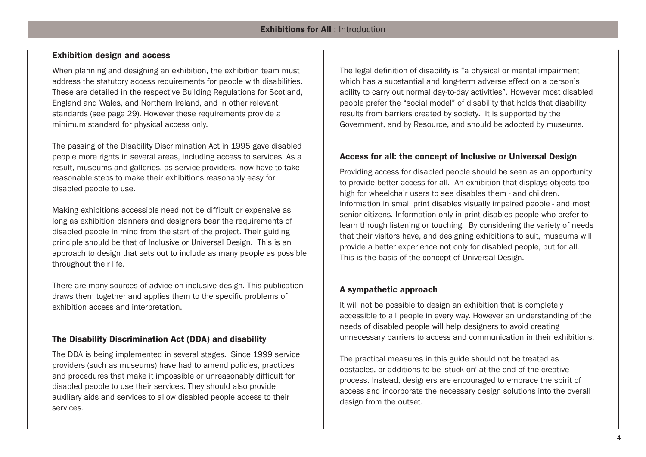# **Exhibition design and access**

When planning and designing an exhibition, the exhibition team must address the statutory access requirements for people with disabilities. These are detailed in the respective Building Regulations for Scotland, England and Wales, and Northern Ireland, and in other relevant standards (see page 29). However these requirements provide a minimum standard for physical access only.

The passing of the Disability Discrimination Act in 1995 gave disabled people more rights in several areas, including access to services. As a result, museums and galleries, as service-providers, now have to take reasonable steps to make their exhibitions reasonably easy for disabled people to use.

Making exhibitions accessible need not be difficult or expensive as long as exhibition planners and designers bear the requirements of disabled people in mind from the start of the project. Their guiding principle should be that of Inclusive or Universal Design. This is an approach to design that sets out to include as many people as possible throughout their life.

There are many sources of advice on inclusive design. This publication draws them together and applies them to the specific problems of exhibition access and interpretation.

# **The Disability Discrimination Act (DDA) and disability**

The DDA is being implemented in several stages. Since 1999 service providers (such as museums) have had to amend policies, practices and procedures that make it impossible or unreasonably difficult for disabled people to use their services. They should also provide auxiliary aids and services to allow disabled people access to their services.

The legal definition of disability is "a physical or mental impairment which has a substantial and long-term adverse effect on a person's ability to carry out normal day-to-day activities". However most disabled people prefer the "social model" of disability that holds that disability results from barriers created by society. It is supported by the Government, and by Resource, and should be adopted by museums.

# **Access for all: the concept of Inclusive or Universal Design**

Providing access for disabled people should be seen as an opportunity to provide better access for all. An exhibition that displays objects too high for wheelchair users to see disables them - and children. Information in small print disables visually impaired people - and most senior citizens. Information only in print disables people who prefer to learn through listening or touching. By considering the variety of needs that their visitors have, and designing exhibitions to suit, museums will provide a better experience not only for disabled people, but for all. This is the basis of the concept of Universal Design.

# **A sympathetic approach**

It will not be possible to design an exhibition that is completely accessible to all people in every way. However an understanding of the needs of disabled people will help designers to avoid creating unnecessary barriers to access and communication in their exhibitions.

The practical measures in this guide should not be treated as obstacles, or additions to be 'stuck on' at the end of the creative process. Instead, designers are encouraged to embrace the spirit of access and incorporate the necessary design solutions into the overall design from the outset.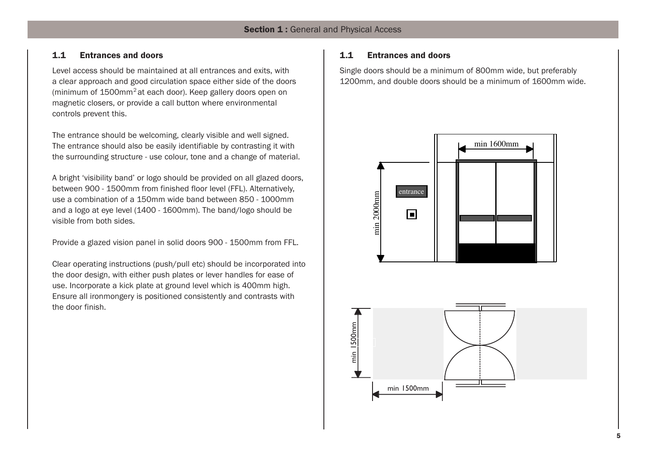# **1.1 Entrances and doors**

Level access should be maintained at all entrances and exits, with a clear approach and good circulation space either side of the doors (minimum of  $1500$ mm<sup>2</sup> at each door). Keep gallery doors open on magnetic closers, or provide a call button where environmental controls prevent this.

The entrance should be welcoming, clearly visible and well signed. The entrance should also be easily identifiable by contrasting it with the surrounding structure - use colour, tone and a change of material.

A bright 'visibility band' or logo should be provided on all glazed doors, between 900 - 1500mm from finished floor level (FFL). Alternatively, use a combination of a 150mm wide band between 850 - 1000mm and a logo at eye level (1400 - 1600mm). The band/logo should be visible from both sides.

Provide a glazed vision panel in solid doors 900 - 1500mm from FFL.

Clear operating instructions (push/pull etc) should be incorporated into the door design, with either push plates or lever handles for ease of use. Incorporate a kick plate at ground level which is 400mm high. Ensure all ironmongery is positioned consistently and contrasts with the door finish.

# **1.1 Entrances and doors**

Single doors should be a minimum of 800mm wide, but preferably 1200mm, and double doors should be a minimum of 1600mm wide.



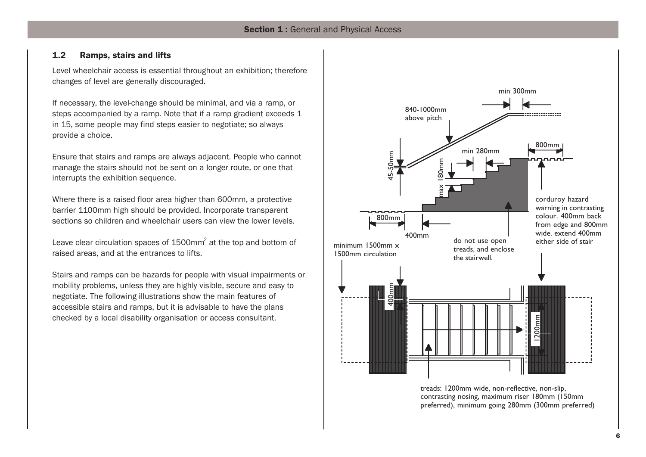# **1.2 Ramps, stairs and lifts**

Level wheelchair access is essential throughout an exhibition; therefore changes of level are generally discouraged.

If necessary, the level-change should be minimal, and via a ramp, or steps accompanied by a ramp. Note that if a ramp gradient exceeds 1 in 15, some people may find steps easier to negotiate; so always provide a choice.

Ensure that stairs and ramps are always adjacent. People who cannot manage the stairs should not be sent on a longer route, or one that interrupts the exhibition sequence.

Where there is a raised floor area higher than 600mm, a protective barrier 1100mm high should be provided. Incorporate transparent sections so children and wheelchair users can view the lower levels.

Leave clear circulation spaces of 1500mm<sup>2</sup> at the top and bottom of raised areas, and at the entrances to lifts.

Stairs and ramps can be hazards for people with visual impairments or mobility problems, unless they are highly visible, secure and easy to negotiate. The following illustrations show the main features of accessible stairs and ramps, but it is advisable to have the plans checked by a local disability organisation or access consultant.



treads: 1200mm wide, non-reflective, non-slip, contrasting nosing, maximum riser 180mm (150mm preferred), minimum going 280mm (300mm preferred)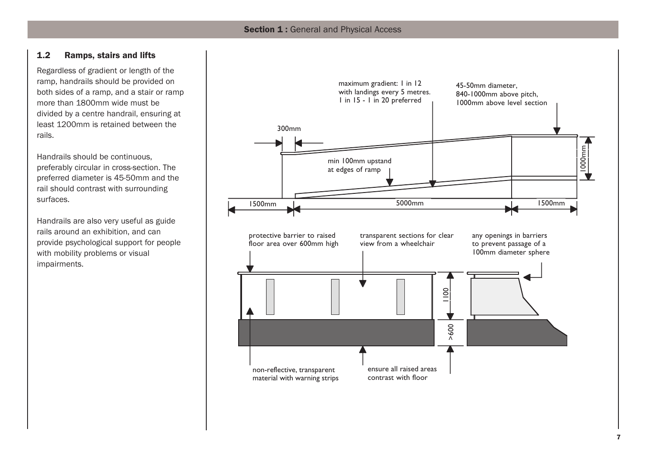# **1.2 Ramps, stairs and lifts**

Regardless of gradient or length of the ramp, handrails should be provided on both sides of a ramp, and a stair or ramp more than 1800mm wide must be divided by a centre handrail, ensuring at least 1200mm is retained between the rails.

Handrails should be continuous, preferably circular in cross-section. The preferred diameter is 45-50mm and the rail should contrast with surrounding surfaces.

Handrails are also very useful as guide rails around an exhibition, and can provide psychological support for people with mobility problems or visual impairments.

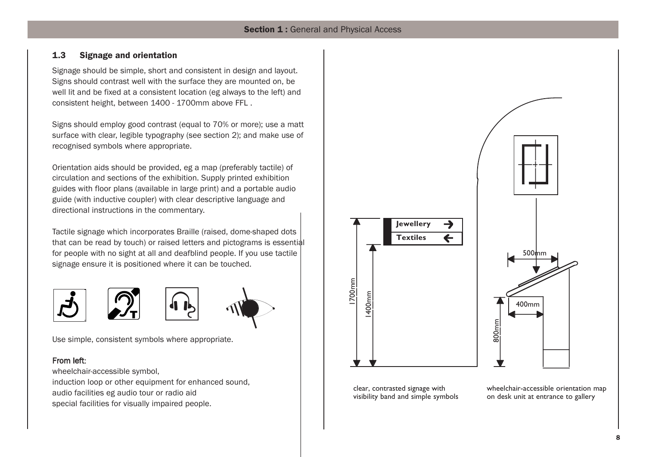# **1.3 Signage and orientation**

Signage should be simple, short and consistent in design and layout. Signs should contrast well with the surface they are mounted on, be well lit and be fixed at a consistent location (eg always to the left) and consistent height, between 1400 - 1700mm above FFL .

Signs should employ good contrast (equal to 70% or more); use a matt surface with clear, legible typography (see section 2); and make use of recognised symbols where appropriate.

Orientation aids should be provided, eg a map (preferably tactile) of circulation and sections of the exhibition. Supply printed exhibition guides with floor plans (available in large print) and a portable audio guide (with inductive coupler) with clear descriptive language and directional instructions in the commentary.

Tactile signage which incorporates Braille (raised, dome-shaped dots that can be read by touch) or raised letters and pictograms is essential for people with no sight at all and deafblind people. If you use tactile signage ensure it is positioned where it can be touched.



Use simple, consistent symbols where appropriate.

# From left:

wheelchair-accessible symbol, induction loop or other equipment for enhanced sound, audio facilities eg audio tour or radio aid special facilities for visually impaired people.



clear, contrasted signage with visibility band and simple symbols wheelchair-accessible orientation map on desk unit at entrance to gallery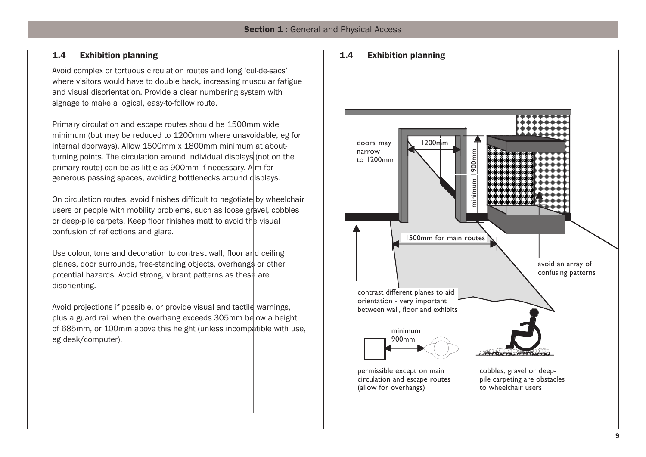# **1.4 Exhibition planning**

Avoid complex or tortuous circulation routes and long 'cul-de-sacs' where visitors would have to double back, increasing muscular fatigue and visual disorientation. Provide a clear numbering system with signage to make a logical, easy-to-follow route.

Primary circulation and escape routes should be 1500mm wide minimum (but may be reduced to 1200mm where unavoidable, eg for internal doorways). Allow 1500mm x 1800mm minimum at aboutturning points. The circulation around individual displays (not on the primary route) can be as little as 900mm if necessary. A  $\ln$  for generous passing spaces, avoiding bottlenecks around displays.

On circulation routes, avoid finishes difficult to negotiate by wheelchair users or people with mobility problems, such as loose gravel, cobbles or deep-pile carpets. Keep floor finishes matt to avoid the visual confusion of reflections and glare.

Use colour, tone and decoration to contrast wall, floor and ceiling planes, door surrounds, free-standing objects, overhangs or other potential hazards. Avoid strong, vibrant patterns as these are disorienting.

Avoid projections if possible, or provide visual and tactile warnings, plus a guard rail when the overhang exceeds 305mm below a height of 685mm, or 100mm above this height (unless incompatible with use, eg desk/computer).

# **1.4 Exhibition planning**

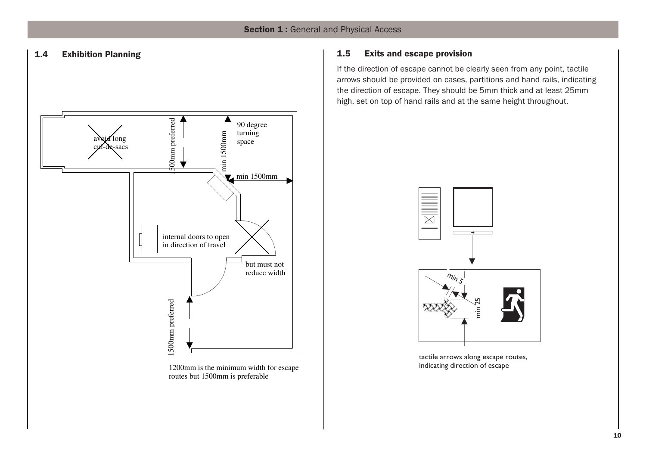

1200mm is the minimum width for escape routes but 1500mm is preferable

# **1.4 Exhibition Planning 1.5 Exits and escape provision**

If the direction of escape cannot be clearly seen from any point, tactile arrows should be provided on cases, partitions and hand rails, indicating the direction of escape. They should be 5mm thick and at least 25mm high, set on top of hand rails and at the same height throughout.



tactile arrows along escape routes, indicating direction of escape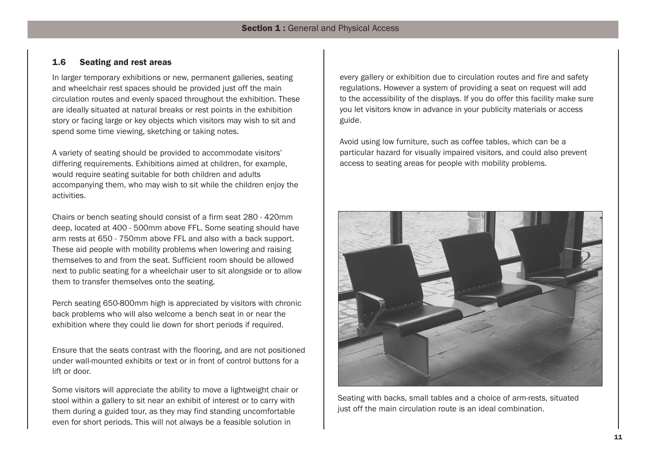# **1.6 Seating and rest areas**

In larger temporary exhibitions or new, permanent galleries, seating and wheelchair rest spaces should be provided just off the main circulation routes and evenly spaced throughout the exhibition. These are ideally situated at natural breaks or rest points in the exhibition story or facing large or key objects which visitors may wish to sit and spend some time viewing, sketching or taking notes.

A variety of seating should be provided to accommodate visitors' differing requirements. Exhibitions aimed at children, for example, would require seating suitable for both children and adults accompanying them, who may wish to sit while the children enjoy the activities.

Chairs or bench seating should consist of a firm seat 280 - 420mm deep, located at 400 - 500mm above FFL. Some seating should have arm rests at 650 - 750mm above FFL and also with a back support. These aid people with mobility problems when lowering and raising themselves to and from the seat. Sufficient room should be allowed next to public seating for a wheelchair user to sit alongside or to allow them to transfer themselves onto the seating.

Perch seating 650-800mm high is appreciated by visitors with chronic back problems who will also welcome a bench seat in or near the exhibition where they could lie down for short periods if required.

Ensure that the seats contrast with the flooring, and are not positioned under wall-mounted exhibits or text or in front of control buttons for a lift or door.

Some visitors will appreciate the ability to move a lightweight chair or stool within a gallery to sit near an exhibit of interest or to carry with them during a guided tour, as they may find standing uncomfortable even for short periods. This will not always be a feasible solution in

every gallery or exhibition due to circulation routes and fire and safety regulations. However a system of providing a seat on request will add to the accessibility of the displays. If you do offer this facility make sure you let visitors know in advance in your publicity materials or access guide.

Avoid using low furniture, such as coffee tables, which can be a particular hazard for visually impaired visitors, and could also prevent access to seating areas for people with mobility problems.



Seating with backs, small tables and a choice of arm-rests, situated just off the main circulation route is an ideal combination.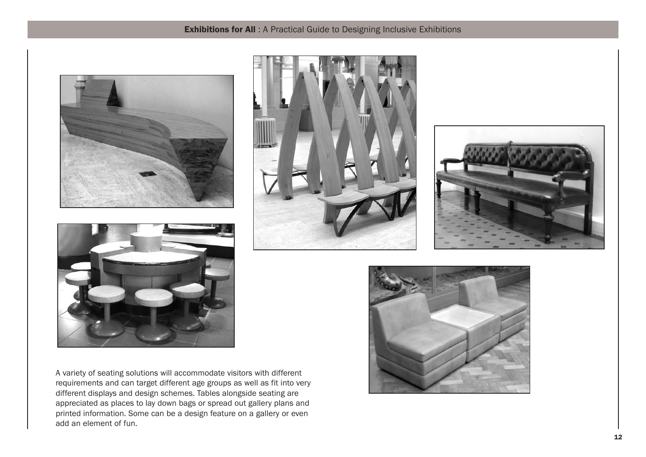# **Exhibitions for All** : A Practical Guide to Designing Inclusive Exhibitions



A variety of seating solutions will accommodate visitors with different requirements and can target different age groups as well as fit into very different displays and design schemes. Tables alongside seating are appreciated as places to lay down bags or spread out gallery plans and printed information. Some can be a design feature on a gallery or even add an element of fun.





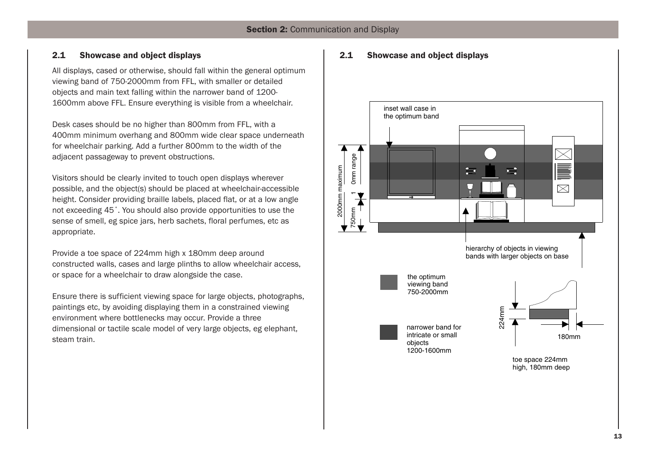# **2.1 Showcase and object displays**

All displays, cased or otherwise, should fall within the general optimum viewing band of 750-2000mm from FFL, with smaller or detailed objects and main text falling within the narrower band of 1200- 1600mm above FFL. Ensure everything is visible from a wheelchair.

Desk cases should be no higher than 800mm from FFL, with a 400mm minimum overhang and 800mm wide clear space underneath for wheelchair parking. Add a further 800mm to the width of the adjacent passageway to prevent obstructions.

Visitors should be clearly invited to touch open displays wherever possible, and the object(s) should be placed at wheelchair-accessible height. Consider providing braille labels, placed flat, or at a low angle not exceeding 45˚. You should also provide opportunities to use the sense of smell, eg spice jars, herb sachets, floral perfumes, etc as appropriate.

Provide a toe space of 224mm high x 180mm deep around constructed walls, cases and large plinths to allow wheelchair access, or space for a wheelchair to draw alongside the case.

Ensure there is sufficient viewing space for large objects, photographs, paintings etc, by avoiding displaying them in a constrained viewing environment where bottlenecks may occur. Provide a three dimensional or tactile scale model of very large objects, eg elephant, steam train.

# **2.1 Showcase and object displays**

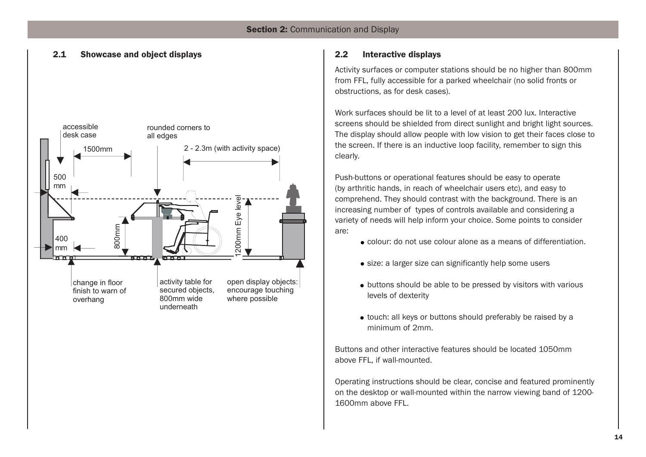# **2.1 Showcase and object displays 2.2 Interactive displays**



Activity surfaces or computer stations should be no higher than 800mm from FFL, fully accessible for a parked wheelchair (no solid fronts or obstructions, as for desk cases).

Work surfaces should be lit to a level of at least 200 lux. Interactive screens should be shielded from direct sunlight and bright light sources. The display should allow people with low vision to get their faces close to the screen. If there is an inductive loop facility, remember to sign this clearly.

Push-buttons or operational features should be easy to operate (by arthritic hands, in reach of wheelchair users etc), and easy to comprehend. They should contrast with the background. There is an increasing number of types of controls available and considering a variety of needs will help inform your choice. Some points to consider are:

- colour: do not use colour alone as a means of differentiation.
- size: a larger size can significantly help some users
- buttons should be able to be pressed by visitors with various levels of dexterity
- touch: all keys or buttons should preferably be raised by a minimum of 2mm.

Buttons and other interactive features should be located 1050mm above FFL, if wall-mounted.

Operating instructions should be clear, concise and featured prominently on the desktop or wall-mounted within the narrow viewing band of 1200- 1600mm above FFL.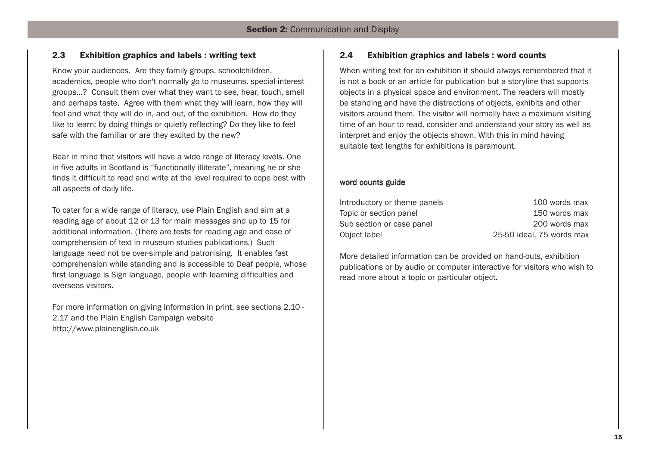# **2.3 Exhibition graphics and labels : writing text**

Know your audiences. Are they family groups, schoolchildren, academics, people who don't normally go to museums, special-interest groups…? Consult them over what they want to see, hear, touch, smell and perhaps taste. Agree with them what they will learn, how they will feel and what they will do in, and out, of the exhibition. How do they like to learn: by doing things or quietly reflecting? Do they like to feel safe with the familiar or are they excited by the new?

Bear in mind that visitors will have a wide range of literacy levels. One in five adults in Scotland is "functionally illiterate", meaning he or she finds it difficult to read and write at the level required to cope best with all aspects of daily life.

To cater for a wide range of literacy, use Plain English and aim at a reading age of about 12 or 13 for main messages and up to 15 for additional information. (There are tests for reading age and ease of comprehension of text in museum studies publications.) Such language need not be over-simple and patronising. It enables fast comprehension while standing and is accessible to Deaf people, whose first language is Sign language, people with learning difficulties and overseas visitors.

For more information on giving information in print, see sections 2.10 - 2.17 and the Plain English Campaign website http://www.plainenglish.co.uk

# **2.4 Exhibition graphics and labels : word counts**

When writing text for an exhibition it should always remembered that it is not a book or an article for publication but a storyline that supports objects in a physical space and environment. The readers will mostly be standing and have the distractions of objects, exhibits and other visitors around them. The visitor will normally have a maximum visiting time of an hour to read, consider and understand your story as well as interpret and enjoy the objects shown. With this in mind having suitable text lengths for exhibitions is paramount.

# word counts guide

| Introductory or theme panels | 100 words max             |
|------------------------------|---------------------------|
| Topic or section panel       | 150 words max             |
| Sub section or case panel    | 200 words max             |
| Object label                 | 25-50 ideal, 75 words max |

More detailed information can be provided on hand-outs, exhibition publications or by audio or computer interactive for visitors who wish to read more about a topic or particular object.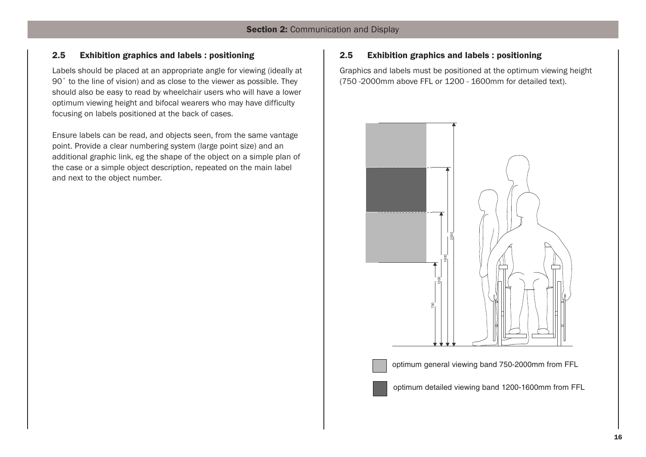# **2.5 Exhibition graphics and labels : positioning**

Labels should be placed at an appropriate angle for viewing (ideally at 90˚ to the line of vision) and as close to the viewer as possible. They should also be easy to read by wheelchair users who will have a lower optimum viewing height and bifocal wearers who may have difficulty focusing on labels positioned at the back of cases.

Ensure labels can be read, and objects seen, from the same vantage point. Provide a clear numbering system (large point size) and an additional graphic link, eg the shape of the object on a simple plan of the case or a simple object description, repeated on the main label and next to the object number.

# **2.5 Exhibition graphics and labels : positioning**

Graphics and labels must be positioned at the optimum viewing height (750 -2000mm above FFL or 1200 - 1600mm for detailed text).





optimum general viewing band 750-2000mm from FFL



optimum detailed viewing band 1200-1600mm from FFL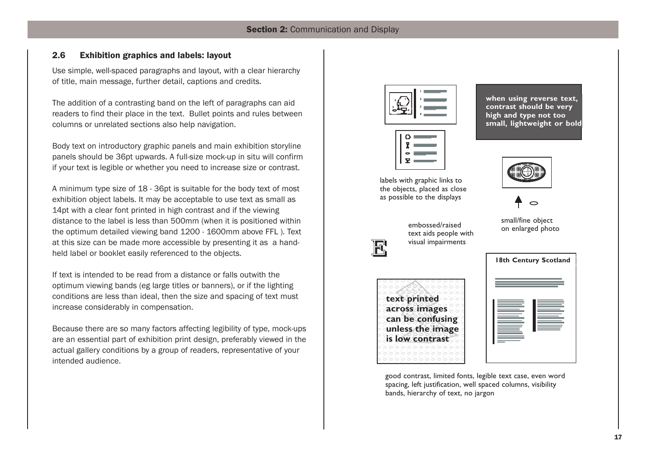# **2.6 Exhibition graphics and labels: layout**

Use simple, well-spaced paragraphs and layout, with a clear hierarchy of title, main message, further detail, captions and credits.

The addition of a contrasting band on the left of paragraphs can aid readers to find their place in the text. Bullet points and rules between columns or unrelated sections also help navigation.

Body text on introductory graphic panels and main exhibition storyline panels should be 36pt upwards. A full-size mock-up in situ will confirm if your text is legible or whether you need to increase size or contrast.

A minimum type size of 18 - 36pt is suitable for the body text of most exhibition object labels. It may be acceptable to use text as small as 14pt with a clear font printed in high contrast and if the viewing distance to the label is less than 500mm (when it is positioned within the optimum detailed viewing band 1200 - 1600mm above FFL ). Text at this size can be made more accessible by presenting it as a handheld label or booklet easily referenced to the objects.

If text is intended to be read from a distance or falls outwith the optimum viewing bands (eg large titles or banners), or if the lighting conditions are less than ideal, then the size and spacing of text must increase considerably in compensation.

Because there are so many factors affecting legibility of type, mock-ups are an essential part of exhibition print design, preferably viewed in the actual gallery conditions by a group of readers, representative of your intended audience.



| د : |  |
|-----|--|
| 0   |  |
| Ŧ   |  |

labels with graphic links to the objects, placed as close as possible to the displays

**when using reverse text, contrast should be very high and type not too small, lightweight or bold**





small/fine object embossed/raised<br>on enlarged photo



text aids people with visual impairments





good contrast, limited fonts, legible text case, even word spacing, left justification, well spaced columns, visibility bands, hierarchy of text, no jargon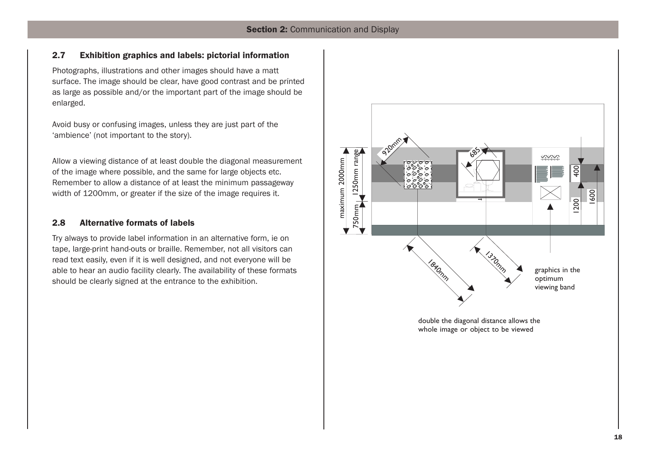# **2.7 Exhibition graphics and labels: pictorial information**

Photographs, illustrations and other images should have a matt surface. The image should be clear, have good contrast and be printed as large as possible and/or the important part of the image should be enlarged.

Avoid busy or confusing images, unless they are just part of the 'ambience' (not important to the story).

Allow a viewing distance of at least double the diagonal measurement of the image where possible, and the same for large objects etc. Remember to allow a distance of at least the minimum passageway width of 1200mm, or greater if the size of the image requires it.

# **2.8 Alternative formats of labels**

Try always to provide label information in an alternative form, ie on tape, large-print hand-outs or braille. Remember, not all visitors can read text easily, even if it is well designed, and not everyone will be able to hear an audio facility clearly. The availability of these formats should be clearly signed at the entrance to the exhibition.

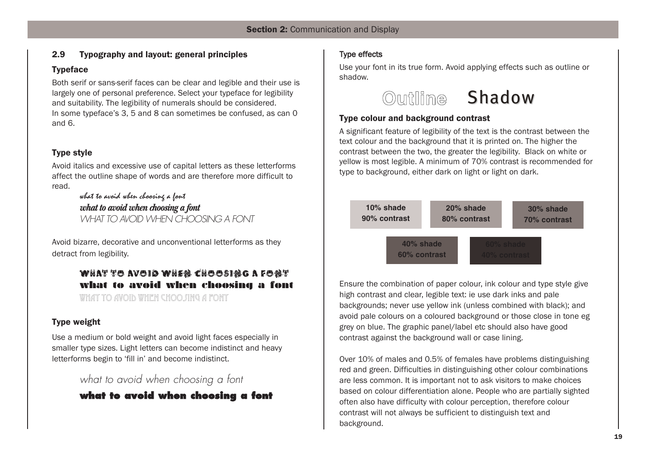# **2.9 Typography and layout: general principles**

# **Typeface**

Both serif or sans-serif faces can be clear and legible and their use is largely one of personal preference. Select your typeface for legibility and suitability. The legibility of numerals should be considered. In some typeface's 3, 5 and 8 can sometimes be confused, as can 0 and 6.

# **Type style**

Avoid italics and excessive use of capital letters as these letterforms affect the outline shape of words and are therefore more difficult to read.

> what to avoid when choosing a font *what to avoid when choosing a font WHAT TO AVOID WHEN CHOOSING A FONT*

Avoid bizarre, decorative and unconventional letterforms as they detract from legibility.

# **what to avoid when choosing a font** what to avoid when choosing a font

what to avoid when choosing a font

# **Type weight**

Use a medium or bold weight and avoid light faces especially in smaller type sizes. Light letters can become indistinct and heavy letterforms begin to 'fill in' and become indistinct.

*what to avoid when choosing a font*



# Type effects

Use your font in its true form. Avoid applying effects such as outline or shadow.

# **Outline** Shadow

# **Type colour and background contrast**

A significant feature of legibility of the text is the contrast between the text colour and the background that it is printed on. The higher the contrast between the two, the greater the legibility. Black on white or yellow is most legible. A minimum of 70% contrast is recommended for type to background, either dark on light or light on dark.



Ensure the combination of paper colour, ink colour and type style give high contrast and clear, legible text: ie use dark inks and pale backgrounds; never use yellow ink (unless combined with black); and avoid pale colours on a coloured background or those close in tone eg grey on blue. The graphic panel/label etc should also have good contrast against the background wall or case lining.

Over 10% of males and 0.5% of females have problems distinguishing red and green. Difficulties in distinguishing other colour combinations are less common. It is important not to ask visitors to make choices based on colour differentiation alone. People who are partially sighted often also have difficulty with colour perception, therefore colour contrast will not always be sufficient to distinguish text and background.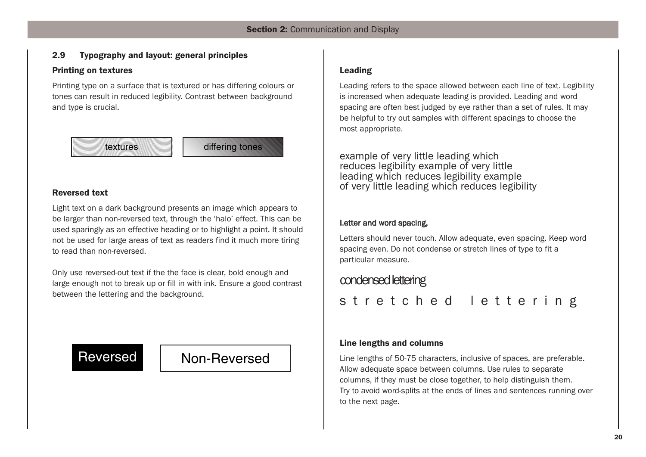# **2.9 Typography and layout: general principles**

# **Printing on textures**

Printing type on a surface that is textured or has differing colours or tones can result in reduced legibility. Contrast between background and type is crucial.



# **Reversed text**

Light text on a dark background presents an image which appears to be larger than non-reversed text, through the 'halo' effect. This can be used sparingly as an effective heading or to highlight a point. It should not be used for large areas of text as readers find it much more tiring to read than non-reversed.

Only use reversed-out text if the the face is clear, bold enough and large enough not to break up or fill in with ink. Ensure a good contrast between the lettering and the background.

# Reversed Non-Reversed

# **Leading**

Leading refers to the space allowed between each line of text. Legibility is increased when adequate leading is provided. Leading and word spacing are often best judged by eye rather than a set of rules. It may be helpful to try out samples with different spacings to choose the most appropriate.

example of very little leading which reduces legibility example of very little leading which reduces legibility example of very little leading which reduces legibility

# Letter and word spacing,

Letters should never touch. Allow adequate, even spacing. Keep word spacing even. Do not condense or stretch lines of type to fit a particular measure.

# condensed lettering

stretched lettering

# **Line lengths and columns**

Line lengths of 50-75 characters, inclusive of spaces, are preferable. Allow adequate space between columns. Use rules to separate columns, if they must be close together, to help distinguish them. Try to avoid word-splits at the ends of lines and sentences running over to the next page.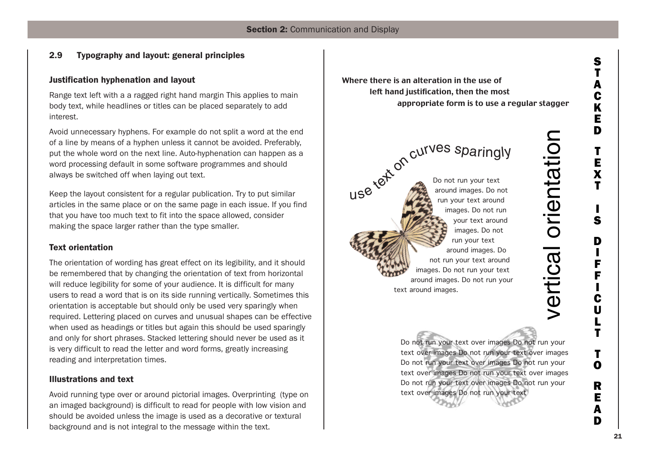# **2.9 Typography and layout: general principles**

# **Justification hyphenation and layout**

Range text left with a a ragged right hand margin This applies to main body text, while headlines or titles can be placed separately to add interest.

Avoid unnecessary hyphens. For example do not split a word at the end of a line by means of a hyphen unless it cannot be avoided. Preferably, put the whole word on the next line. Auto-hyphenation can happen as a word processing default in some software programmes and should always be switched off when laying out text.

Keep the layout consistent for a regular publication. Try to put similar articles in the same place or on the same page in each issue. If you find that you have too much text to fit into the space allowed, consider making the space larger rather than the type smaller.

# **Text orientation**

The orientation of wording has great effect on its legibility, and it should be remembered that by changing the orientation of text from horizontal will reduce legibility for some of your audience. It is difficult for many users to read a word that is on its side running vertically. Sometimes this orientation is acceptable but should only be used very sparingly when required. Lettering placed on curves and unusual shapes can be effective when used as headings or titles but again this should be used sparingly and only for short phrases. Stacked lettering should never be used as it is very difficult to read the letter and word forms, greatly increasing reading and interpretation times.

# **Illustrations and text**

Avoid running type over or around pictorial images. Overprinting (type on an imaged background) is difficult to read for people with low vision and should be avoided unless the image is used as a decorative or textural background and is not integral to the message within the text.

Where there is an alteration in the use of left hand justification, then the most appropriate form is to use a regular stagger

use text on curves sparingly Do not run your text around images. Do not run your text around images. Do not run your text around images. Do not run your text around images. Do not run your text around images. Do not run your text around images. Do not run your text around images.

> Do not run your text over images Do not run your text over images Do not run your text over images Do not run your text over images Do not run your text over images Do not run your text over images Do not run your text over images Do not run your text over images Do not run your text

 $\bm >$  $\mathbf \Phi$ r

<u>ب</u><br>≔

al o

e.<br>J

 $\mathbf{\Xi}$ ┷  $\boldsymbol{\varpi}$ 

tio

 $\mathbf{\subseteq}$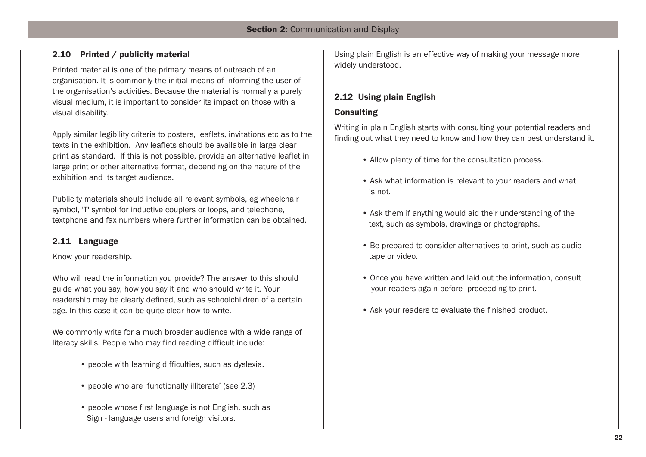# **2.10 Printed / publicity material**

Printed material is one of the primary means of outreach of an organisation. It is commonly the initial means of informing the user of the organisation's activities. Because the material is normally a purely visual medium, it is important to consider its impact on those with a visual disability.

Apply similar legibility criteria to posters, leaflets, invitations etc as to the texts in the exhibition. Any leaflets should be available in large clear print as standard. If this is not possible, provide an alternative leaflet in large print or other alternative format, depending on the nature of the exhibition and its target audience.

Publicity materials should include all relevant symbols, eg wheelchair symbol, 'T' symbol for inductive couplers or loops, and telephone, textphone and fax numbers where further information can be obtained.

# **2.11 Language**

Know your readership.

Who will read the information you provide? The answer to this should guide what you say, how you say it and who should write it. Your readership may be clearly defined, such as schoolchildren of a certain age. In this case it can be quite clear how to write.

We commonly write for a much broader audience with a wide range of literacy skills. People who may find reading difficult include:

- people with learning difficulties, such as dyslexia.
- people who are 'functionally illiterate' (see 2.3)
- people whose first language is not English, such as Sign - language users and foreign visitors.

Using plain English is an effective way of making your message more widely understood.

# **2.12 Using plain English**

# **Consulting**

Writing in plain English starts with consulting your potential readers and finding out what they need to know and how they can best understand it.

- Allow plenty of time for the consultation process.
- Ask what information is relevant to your readers and what is not.
- Ask them if anything would aid their understanding of the text, such as symbols, drawings or photographs.
- Be prepared to consider alternatives to print, such as audio tape or video.
- Once you have written and laid out the information, consult your readers again before proceeding to print.
- Ask your readers to evaluate the finished product.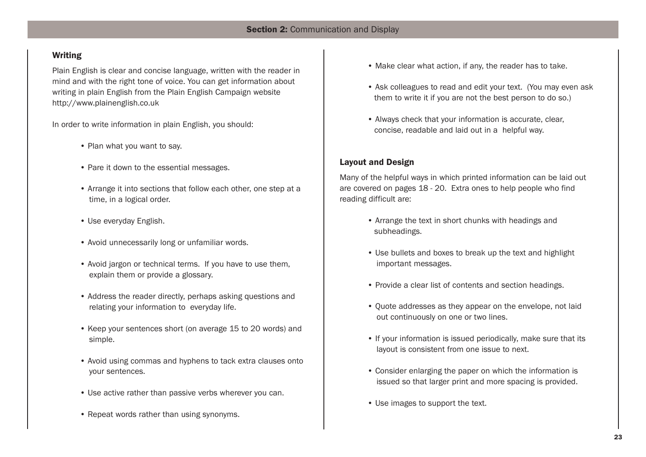# **Writing**

Plain English is clear and concise language, written with the reader in mind and with the right tone of voice. You can get information about writing in plain English from the Plain English Campaign website http://www.plainenglish.co.uk

In order to write information in plain English, you should:

- Plan what you want to say.
- Pare it down to the essential messages.
- Arrange it into sections that follow each other, one step at a time, in a logical order.
- Use everyday English.
- Avoid unnecessarily long or unfamiliar words.
- Avoid jargon or technical terms. If you have to use them, explain them or provide a glossary.
- Address the reader directly, perhaps asking questions and relating your information to everyday life.
- Keep your sentences short (on average 15 to 20 words) and simple.
- Avoid using commas and hyphens to tack extra clauses onto your sentences.
- Use active rather than passive verbs wherever you can.
- Repeat words rather than using synonyms.
- Make clear what action, if any, the reader has to take.
- Ask colleagues to read and edit your text. (You may even ask them to write it if you are not the best person to do so.)
- Always check that your information is accurate, clear, concise, readable and laid out in a helpful way.

# **Layout and Design**

Many of the helpful ways in which printed information can be laid out are covered on pages 18 - 20. Extra ones to help people who find reading difficult are:

- Arrange the text in short chunks with headings and subheadings.
- Use bullets and boxes to break up the text and highlight important messages.
- Provide a clear list of contents and section headings.
- Quote addresses as they appear on the envelope, not laid out continuously on one or two lines.
- If your information is issued periodically, make sure that its layout is consistent from one issue to next.
- Consider enlarging the paper on which the information is issued so that larger print and more spacing is provided.
- Use images to support the text.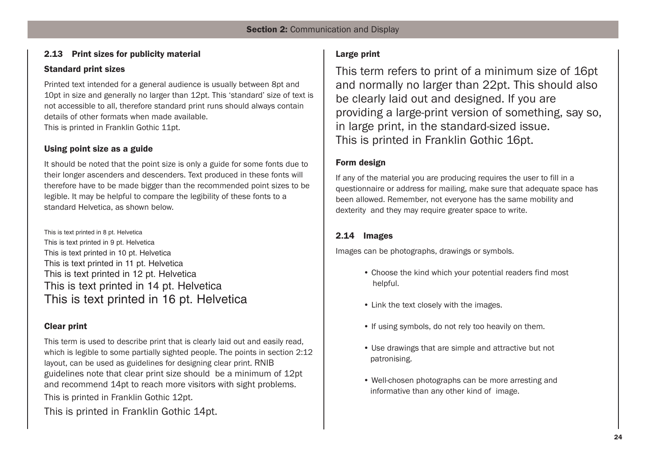# **2.13 Print sizes for publicity material**

# **Standard print sizes**

Printed text intended for a general audience is usually between 8pt and 10pt in size and generally no larger than 12pt. This 'standard' size of text is not accessible to all, therefore standard print runs should always contain details of other formats when made available. This is printed in Franklin Gothic 11pt.

# **Using point size as a guide**

It should be noted that the point size is only a guide for some fonts due to their longer ascenders and descenders. Text produced in these fonts will therefore have to be made bigger than the recommended point sizes to be legible. It may be helpful to compare the legibility of these fonts to a standard Helvetica, as shown below.

This is text printed in 8 pt. Helvetica This is text printed in 9 pt. Helvetica This is text printed in 10 pt. Helvetica This is text printed in 11 pt. Helvetica This is text printed in 12 pt. Helvetica This is text printed in 14 pt. Helvetica This is text printed in 16 pt. Helvetica

# **Clear print**

This term is used to describe print that is clearly laid out and easily read, which is legible to some partially sighted people. The points in section 2:12 layout, can be used as guidelines for designing clear print. RNIB guidelines note that clear print size should be a minimum of 12pt and recommend 14pt to reach more visitors with sight problems. This is printed in Franklin Gothic 12pt.

This is printed in Franklin Gothic 14pt.

# **Large print**

This term refers to print of a minimum size of 16pt and normally no larger than 22pt. This should also be clearly laid out and designed. If you are providing a large-print version of something, say so, in large print, in the standard-sized issue. This is printed in Franklin Gothic 16pt.

# **Form design**

If any of the material you are producing requires the user to fill in a questionnaire or address for mailing, make sure that adequate space has been allowed. Remember, not everyone has the same mobility and dexterity and they may require greater space to write.

# **2.14 Images**

Images can be photographs, drawings or symbols.

- Choose the kind which your potential readers find most helpful.
- Link the text closely with the images.
- If using symbols, do not rely too heavily on them.
- Use drawings that are simple and attractive but not patronising.
- Well-chosen photographs can be more arresting and informative than any other kind of image.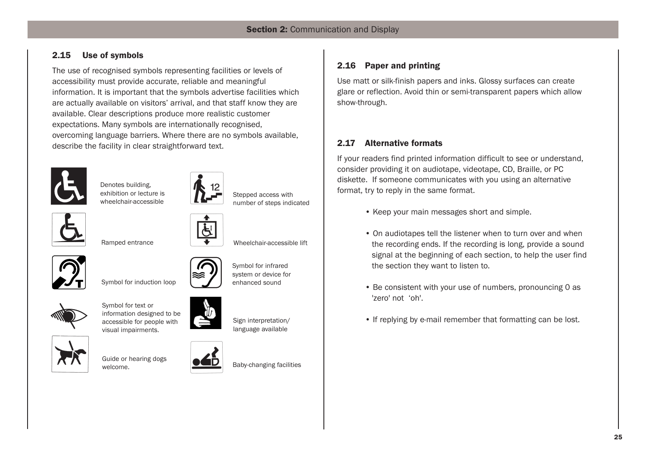# **2.15 Use of symbols**

The use of recognised symbols representing facilities or levels of accessibility must provide accurate, reliable and meaningful information. It is important that the symbols advertise facilities which are actually available on visitors' arrival, and that staff know they are available. Clear descriptions produce more realistic customer expectations. Many symbols are internationally recognised, overcoming language barriers. Where there are no symbols available, describe the facility in clear straightforward text.



Denotes building, exhibition or lecture is wheelchair-accessible



Stepped access with number of steps indicated

Wheelchair-accessible lift



Ramped entrance



Symbol for induction loop



Symbol for text or information designed to be accessible for people with visual impairments.



Guide or hearing dogs

welcome.



Baby-changing facilities

Sign interpretation/ language available

Symbol for infrared system or device for enhanced sound



Use matt or silk-finish papers and inks. Glossy surfaces can create glare or reflection. Avoid thin or semi-transparent papers which allow show-through.

# **2.17 Alternative formats**

If your readers find printed information difficult to see or understand, consider providing it on audiotape, videotape, CD, Braille, or PC diskette. If someone communicates with you using an alternative format, try to reply in the same format.

- Keep your main messages short and simple.
- On audiotapes tell the listener when to turn over and when the recording ends. If the recording is long, provide a sound signal at the beginning of each section, to help the user find the section they want to listen to.
- Be consistent with your use of numbers, pronouncing 0 as 'zero' not 'oh'.
- If replying by e-mail remember that formatting can be lost.

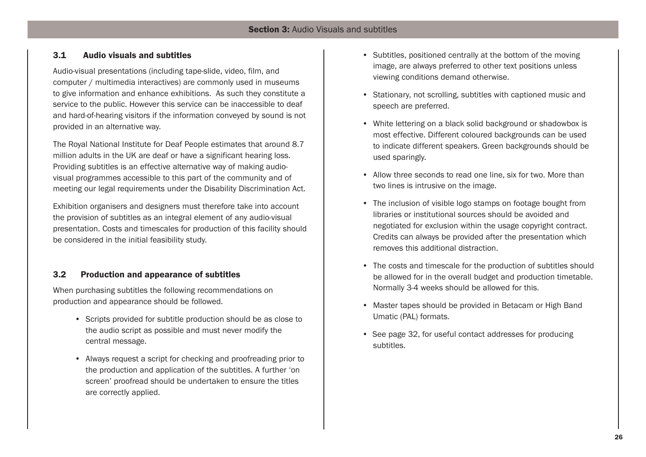# **3.1 Audio visuals and subtitles**

Audio-visual presentations (including tape-slide, video, film, and computer / multimedia interactives) are commonly used in museums to give information and enhance exhibitions. As such they constitute a service to the public. However this service can be inaccessible to deaf and hard-of-hearing visitors if the information conveyed by sound is not provided in an alternative way.

The Royal National Institute for Deaf People estimates that around 8.7 million adults in the UK are deaf or have a significant hearing loss. Providing subtitles is an effective alternative way of making audiovisual programmes accessible to this part of the community and of meeting our legal requirements under the Disability Discrimination Act.

Exhibition organisers and designers must therefore take into account the provision of subtitles as an integral element of any audio-visual presentation. Costs and timescales for production of this facility should be considered in the initial feasibility study.

# **3.2 Production and appearance of subtitles**

When purchasing subtitles the following recommendations on production and appearance should be followed.

- Scripts provided for subtitle production should be as close to the audio script as possible and must never modify the central message.
- Always request a script for checking and proofreading prior to the production and application of the subtitles. A further 'on screen' proofread should be undertaken to ensure the titles are correctly applied.
- Subtitles, positioned centrally at the bottom of the moving image, are always preferred to other text positions unless viewing conditions demand otherwise.
- Stationary, not scrolling, subtitles with captioned music and speech are preferred.
- White lettering on a black solid background or shadowbox is most effective. Different coloured backgrounds can be used to indicate different speakers. Green backgrounds should be used sparingly.
- Allow three seconds to read one line, six for two. More than two lines is intrusive on the image.
- The inclusion of visible logo stamps on footage bought from libraries or institutional sources should be avoided and negotiated for exclusion within the usage copyright contract. Credits can always be provided after the presentation which removes this additional distraction.
- The costs and timescale for the production of subtitles should be allowed for in the overall budget and production timetable. Normally 3-4 weeks should be allowed for this.
- Master tapes should be provided in Betacam or High Band Umatic (PAL) formats.
- See page 32, for useful contact addresses for producing subtitles.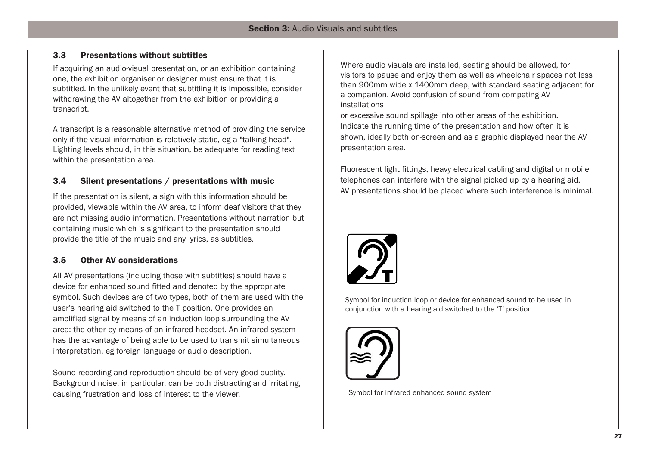# **3.3 Presentations without subtitles**

If acquiring an audio-visual presentation, or an exhibition containing one, the exhibition organiser or designer must ensure that it is subtitled. In the unlikely event that subtitling it is impossible, consider withdrawing the AV altogether from the exhibition or providing a transcript.

A transcript is a reasonable alternative method of providing the service only if the visual information is relatively static, eg a "talking head". Lighting levels should, in this situation, be adequate for reading text within the presentation area.

# **3.4 Silent presentations / presentations with music**

If the presentation is silent, a sign with this information should be provided, viewable within the AV area, to inform deaf visitors that they are not missing audio information. Presentations without narration but containing music which is significant to the presentation should provide the title of the music and any lyrics, as subtitles.

# **3.5 Other AV considerations**

All AV presentations (including those with subtitles) should have a device for enhanced sound fitted and denoted by the appropriate symbol. Such devices are of two types, both of them are used with the user's hearing aid switched to the T position. One provides an amplified signal by means of an induction loop surrounding the AV area: the other by means of an infrared headset. An infrared system has the advantage of being able to be used to transmit simultaneous interpretation, eg foreign language or audio description.

Sound recording and reproduction should be of very good quality. Background noise, in particular, can be both distracting and irritating, causing frustration and loss of interest to the viewer.

Where audio visuals are installed, seating should be allowed, for visitors to pause and enjoy them as well as wheelchair spaces not less than 900mm wide x 1400mm deep, with standard seating adjacent for a companion. Avoid confusion of sound from competing AV installations

or excessive sound spillage into other areas of the exhibition. Indicate the running time of the presentation and how often it is shown, ideally both on-screen and as a graphic displayed near the AV presentation area.

Fluorescent light fittings, heavy electrical cabling and digital or mobile telephones can interfere with the signal picked up by a hearing aid. AV presentations should be placed where such interference is minimal.



Symbol for induction loop or device for enhanced sound to be used in conjunction with a hearing aid switched to the 'T' position.



Symbol for infrared enhanced sound system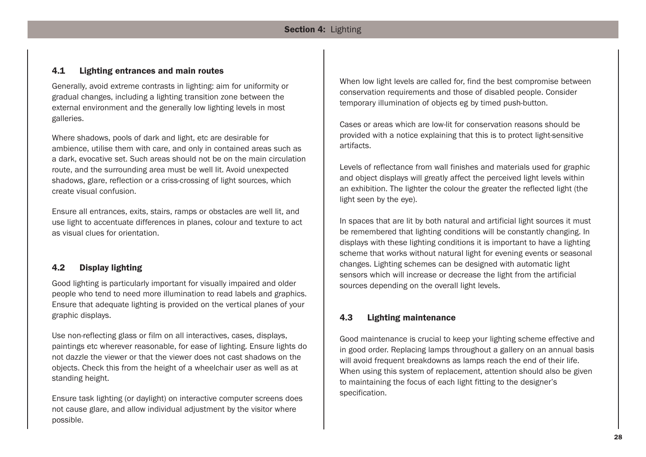# **Section 4:** Lighting

# **4.1 Lighting entrances and main routes**

Generally, avoid extreme contrasts in lighting: aim for uniformity or gradual changes, including a lighting transition zone between the external environment and the generally low lighting levels in most galleries.

Where shadows, pools of dark and light, etc are desirable for ambience, utilise them with care, and only in contained areas such as a dark, evocative set. Such areas should not be on the main circulation route, and the surrounding area must be well lit. Avoid unexpected shadows, glare, reflection or a criss-crossing of light sources, which create visual confusion.

Ensure all entrances, exits, stairs, ramps or obstacles are well lit, and use light to accentuate differences in planes, colour and texture to act as visual clues for orientation.

# **4.2 Display lighting**

Good lighting is particularly important for visually impaired and older people who tend to need more illumination to read labels and graphics. Ensure that adequate lighting is provided on the vertical planes of your graphic displays.

Use non-reflecting glass or film on all interactives, cases, displays, paintings etc wherever reasonable, for ease of lighting. Ensure lights do not dazzle the viewer or that the viewer does not cast shadows on the objects. Check this from the height of a wheelchair user as well as at standing height.

Ensure task lighting (or daylight) on interactive computer screens does not cause glare, and allow individual adjustment by the visitor where possible.

When low light levels are called for, find the best compromise between conservation requirements and those of disabled people. Consider temporary illumination of objects eg by timed push-button.

Cases or areas which are low-lit for conservation reasons should be provided with a notice explaining that this is to protect light-sensitive artifacts.

Levels of reflectance from wall finishes and materials used for graphic and object displays will greatly affect the perceived light levels within an exhibition. The lighter the colour the greater the reflected light (the light seen by the eye).

In spaces that are lit by both natural and artificial light sources it must be remembered that lighting conditions will be constantly changing. In displays with these lighting conditions it is important to have a lighting scheme that works without natural light for evening events or seasonal changes. Lighting schemes can be designed with automatic light sensors which will increase or decrease the light from the artificial sources depending on the overall light levels.

# **4.3 Lighting maintenance**

Good maintenance is crucial to keep your lighting scheme effective and in good order. Replacing lamps throughout a gallery on an annual basis will avoid frequent breakdowns as lamps reach the end of their life. When using this system of replacement, attention should also be given to maintaining the focus of each light fitting to the designer's specification.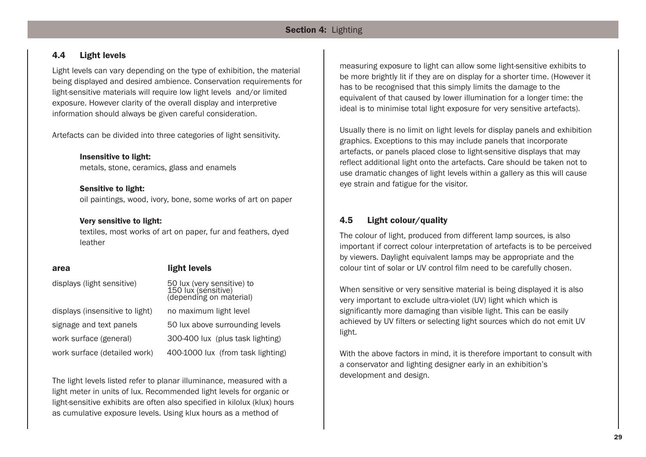# **Section 4:** Lighting

# **4.4 Light levels**

Light levels can vary depending on the type of exhibition, the material being displayed and desired ambience. Conservation requirements for light-sensitive materials will require low light levels and/or limited exposure. However clarity of the overall display and interpretive information should always be given careful consideration.

Artefacts can be divided into three categories of light sensitivity.

**Insensitive to light:** metals, stone, ceramics, glass and enamels

## **Sensitive to light:**

oil paintings, wood, ivory, bone, some works of art on paper

# **Very sensitive to light:**

textiles, most works of art on paper, fur and feathers, dyed leather

| area                            | light levels                                                                 |
|---------------------------------|------------------------------------------------------------------------------|
| displays (light sensitive)      | 50 lux (very sensitive) to<br>150 lux (sensitive)<br>(depending on material) |
| displays (insensitive to light) | no maximum light level                                                       |
| signage and text panels         | 50 lux above surrounding levels                                              |
| work surface (general)          | 300-400 lux (plus task lighting)                                             |
| work surface (detailed work)    | 400-1000 lux (from task lighting)                                            |

The light levels listed refer to planar illuminance, measured with a light meter in units of lux. Recommended light levels for organic or light-sensitive exhibits are often also specified in kilolux (klux) hours as cumulative exposure levels. Using klux hours as a method of

measuring exposure to light can allow some light-sensitive exhibits to be more brightly lit if they are on display for a shorter time. (However it has to be recognised that this simply limits the damage to the equivalent of that caused by lower illumination for a longer time: the ideal is to minimise total light exposure for very sensitive artefacts).

Usually there is no limit on light levels for display panels and exhibition graphics. Exceptions to this may include panels that incorporate artefacts, or panels placed close to light-sensitive displays that may reflect additional light onto the artefacts. Care should be taken not to use dramatic changes of light levels within a gallery as this will cause eye strain and fatigue for the visitor.

# **4.5 Light colour/quality**

The colour of light, produced from different lamp sources, is also important if correct colour interpretation of artefacts is to be perceived by viewers. Daylight equivalent lamps may be appropriate and the colour tint of solar or UV control film need to be carefully chosen.

When sensitive or very sensitive material is being displayed it is also very important to exclude ultra-violet (UV) light which which is significantly more damaging than visible light. This can be easily achieved by UV filters or selecting light sources which do not emit UV light.

With the above factors in mind, it is therefore important to consult with a conservator and lighting designer early in an exhibition's development and design.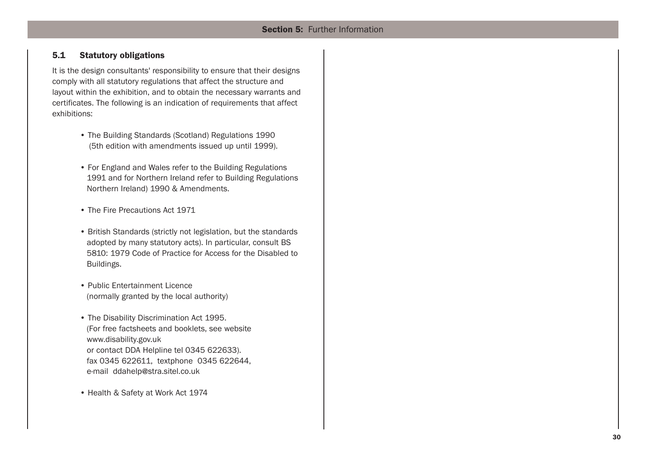# **5.1 Statutory obligations**

It is the design consultants' responsibility to ensure that their designs comply with all statutory regulations that affect the structure and layout within the exhibition, and to obtain the necessary warrants and certificates. The following is an indication of requirements that affect exhibitions:

- The Building Standards (Scotland) Regulations 1990 (5th edition with amendments issued up until 1999).
- For England and Wales refer to the Building Regulations 1991 and for Northern Ireland refer to Building Regulations Northern Ireland) 1990 & Amendments.
- The Fire Precautions Act 1971
- British Standards (strictly not legislation, but the standards adopted by many statutory acts). In particular, consult BS 5810: 1979 Code of Practice for Access for the Disabled to Buildings.
- Public Entertainment Licence (normally granted by the local authority)
- The Disability Discrimination Act 1995. (For free factsheets and booklets, see website www.disability.gov.uk or contact DDA Helpline tel 0345 622633). fax 0345 622611, textphone 0345 622644, e-mail ddahelp@stra.sitel.co.uk
- Health & Safety at Work Act 1974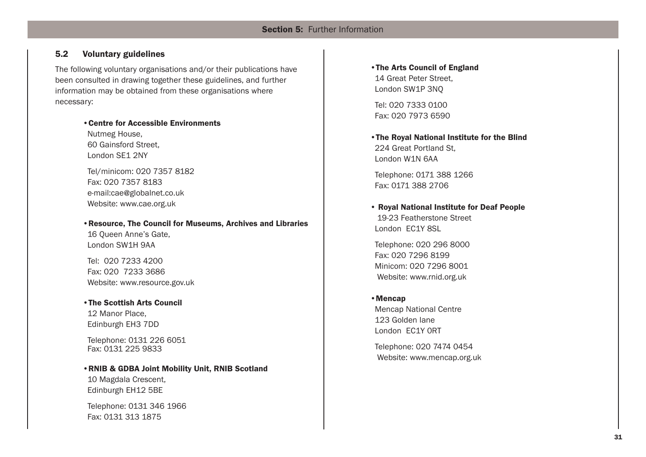# **Section 5: Further Information**

# **5.2 Voluntary guidelines**

The following voluntary organisations and/or their publications have been consulted in drawing together these guidelines, and further information may be obtained from these organisations where necessary:

# **•Centre for Accessible Environments**  Nutmeg House,

60 Gainsford Street, London SE1 2NY

Tel/minicom: 020 7357 8182 Fax: 020 7357 8183 e-mail:cae@globalnet.co.uk Website: www.cae.org.uk

**•Resource, The Council for Museums, Archives and Libraries** 16 Queen Anne's Gate, London SW1H 9AA

Tel: 020 7233 4200 Fax: 020 7233 3686 Website: www.resource.gov.uk

**•The Scottish Arts Council**  12 Manor Place, Edinburgh EH3 7DD

Telephone: 0131 226 6051 Fax: 0131 225 9833

**•RNIB & GDBA Joint Mobility Unit, RNIB Scotland**  10 Magdala Crescent, Edinburgh EH12 5BE

Telephone: 0131 346 1966 Fax: 0131 313 1875

**•The Arts Council of England** 14 Great Peter Street, London SW1P 3NQ

Tel: 020 7333 0100 Fax: 020 7973 6590

**•The Royal National Institute for the Blind** 224 Great Portland St, London W1N 6AA

Telephone: 0171 388 1266 Fax: 0171 388 2706

**• Royal National Institute for Deaf People** 19-23 Featherstone Street London EC1Y 8SL

Telephone: 020 296 8000 Fax: 020 7296 8199 Minicom: 020 7296 8001 Website: www.rnid.org.uk

### **•Mencap**

Mencap National Centre 123 Golden lane London EC1Y 0RT

Telephone: 020 7474 0454 Website: www.mencap.org.uk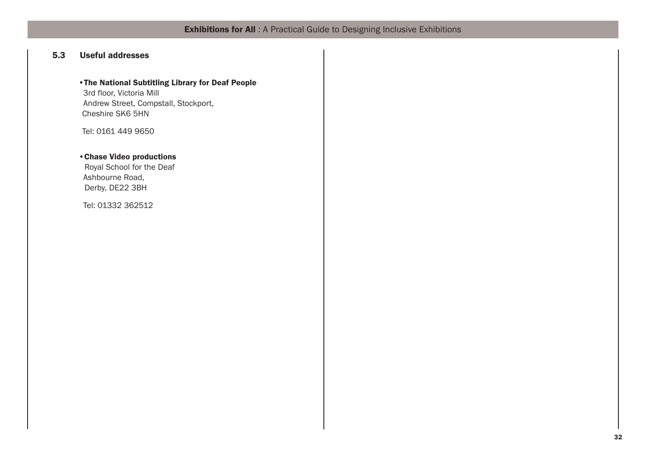# **Exhibitions for All** : A Practical Guide to Designing Inclusive Exhibitions

# **5.3 Useful addresses**

# **•The National Subtitling Library for Deaf People**

3rd floor, Victoria Mill Andrew Street, Compstall, Stockport, Cheshire SK6 5HN

Tel: 0161 449 9650

# **•Chase Video productions**

Royal School for the Deaf Ashbourne Road, Derby, DE22 3BH

Tel: 01332 362512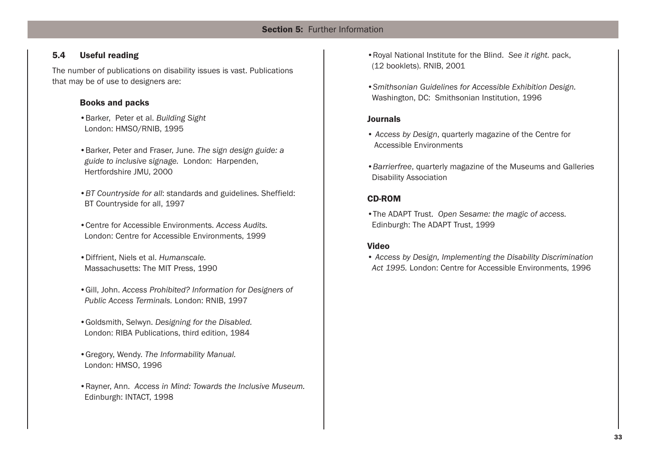# **5.4 Useful reading**

The number of publications on disability issues is vast. Publications that may be of use to designers are:

# **Books and packs**

- •Barker, Peter et al. *Building Sight* London: HMSO/RNIB, 1995
- •Barker, Peter and Fraser, June. *The sign design guide: a guide to inclusive signage.* London: Harpenden, Hertfordshire JMU, 2000
- •*BT Countryside for all*: standards and guidelines. Sheffield: BT Countryside for all, 1997
- •Centre for Accessible Environments. *Access Audits.* London: Centre for Accessible Environments, 1999
- •Diffrient, Niels et al. *Humanscale.* Massachusetts: The MIT Press, 1990
- •Gill, John. *Access Prohibited? Information for Designers of Public Access Terminals.* London: RNIB, 1997
- •Goldsmith, Selwyn. *Designing for the Disabled.* London: RIBA Publications, third edition, 1984
- •Gregory, Wendy. *The Informability Manual.* London: HMSO, 1996
- •Rayner, Ann. *Access in Mind: Towards the Inclusive Museum.* Edinburgh: INTACT, 1998
- •Royal National Institute for the Blind. *See it right.* pack, (12 booklets). RNIB, 2001
- •*Smithsonian Guidelines for Accessible Exhibition Design.*  Washington, DC: Smithsonian Institution, 1996

# **Journals**

- *Access by Design*, quarterly magazine of the Centre for Accessible Environments
- •*Barrierfree*, quarterly magazine of the Museums and Galleries Disability Association

# **CD-ROM**

•The ADAPT Trust. *Open Sesame: the magic of access.* Edinburgh: The ADAPT Trust, 1999

# **Video**

• *Access by Design, Implementing the Disability Discrimination Act 1995.* London: Centre for Accessible Environments, 1996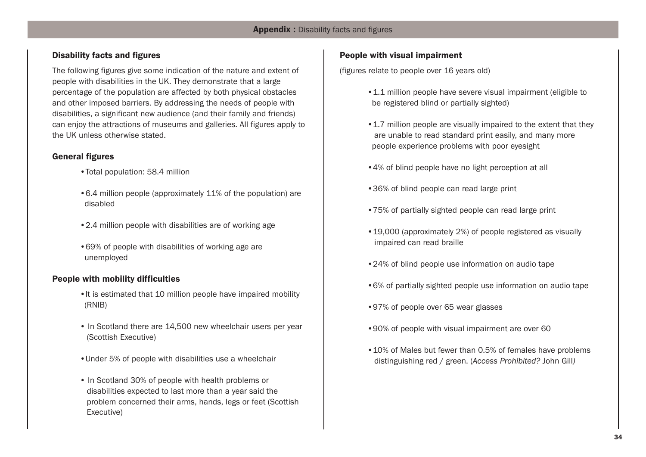# **Disability facts and figures**

The following figures give some indication of the nature and extent of people with disabilities in the UK. They demonstrate that a large percentage of the population are affected by both physical obstacles and other imposed barriers. By addressing the needs of people with disabilities, a significant new audience (and their family and friends) can enjoy the attractions of museums and galleries. All figures apply to the UK unless otherwise stated.

# **General figures**

- •Total population: 58.4 million
- •6.4 million people (approximately 11% of the population) are disabled
- •2.4 million people with disabilities are of working age
- •69% of people with disabilities of working age are unemployed

# **People with mobility difficulties**

- •It is estimated that 10 million people have impaired mobility (RNIB)
- In Scotland there are 14,500 new wheelchair users per year (Scottish Executive)
- •Under 5% of people with disabilities use a wheelchair
- In Scotland 30% of people with health problems or disabilities expected to last more than a year said the problem concerned their arms, hands, legs or feet (Scottish Executive)

# **People with visual impairment**

(figures relate to people over 16 years old)

- •1.1 million people have severe visual impairment (eligible to be registered blind or partially sighted)
- •1.7 million people are visually impaired to the extent that they are unable to read standard print easily, and many more people experience problems with poor eyesight
- •4% of blind people have no light perception at all
- •36% of blind people can read large print
- •75% of partially sighted people can read large print
- •19,000 (approximately 2%) of people registered as visually impaired can read braille
- •24% of blind people use information on audio tape
- •6% of partially sighted people use information on audio tape
- •97% of people over 65 wear glasses
- •90% of people with visual impairment are over 60
- •10% of Males but fewer than 0.5% of females have problems distinguishing red / green. (*Access Prohibited?* John Gill*)*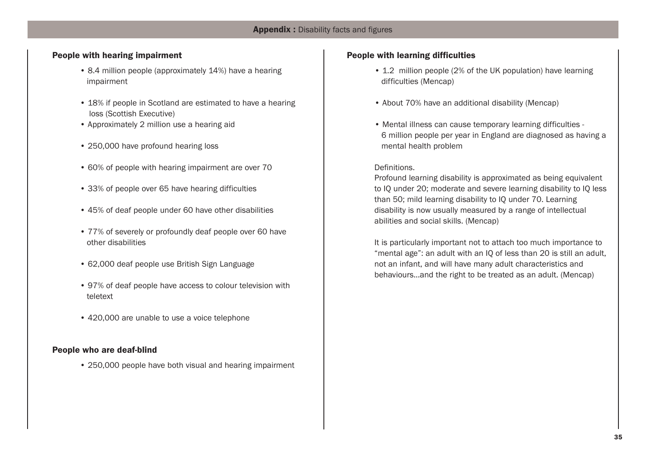# **People with hearing impairment**

- 8.4 million people (approximately 14%) have a hearing impairment
- 18% if people in Scotland are estimated to have a hearing loss (Scottish Executive)
- Approximately 2 million use a hearing aid
- 250,000 have profound hearing loss
- 60% of people with hearing impairment are over 70
- 33% of people over 65 have hearing difficulties
- 45% of deaf people under 60 have other disabilities
- 77% of severely or profoundly deaf people over 60 have other disabilities
- 62,000 deaf people use British Sign Language
- 97% of deaf people have access to colour television with teletext
- 420,000 are unable to use a voice telephone

# **People who are deaf-blind**

• 250,000 people have both visual and hearing impairment

# **People with learning difficulties**

- 1.2 million people (2% of the UK population) have learning difficulties (Mencap)
- About 70% have an additional disability (Mencap)
- Mental illness can cause temporary learning difficulties 6 million people per year in England are diagnosed as having a mental health problem

# Definitions.

Profound learning disability is approximated as being equivalent to IQ under 20; moderate and severe learning disability to IQ less than 50; mild learning disability to IQ under 70. Learning disability is now usually measured by a range of intellectual abilities and social skills. (Mencap)

It is particularly important not to attach too much importance to "mental age": an adult with an IQ of less than 20 is still an adult, not an infant, and will have many adult characteristics and behaviours...and the right to be treated as an adult. (Mencap)